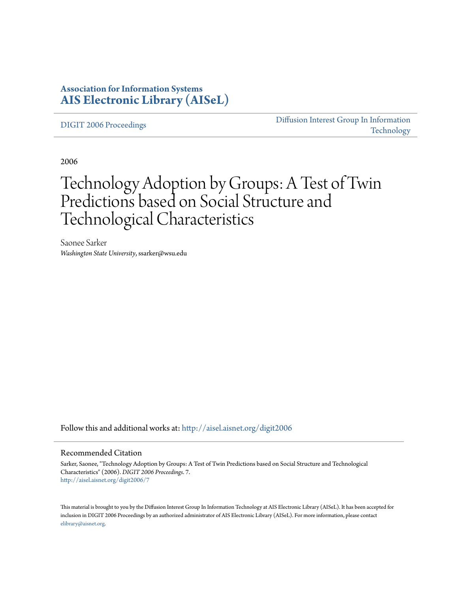# **Association for Information Systems [AIS Electronic Library \(AISeL\)](http://aisel.aisnet.org?utm_source=aisel.aisnet.org%2Fdigit2006%2F7&utm_medium=PDF&utm_campaign=PDFCoverPages)**

[DIGIT 2006 Proceedings](http://aisel.aisnet.org/digit2006?utm_source=aisel.aisnet.org%2Fdigit2006%2F7&utm_medium=PDF&utm_campaign=PDFCoverPages)

[Diffusion Interest Group In Information](http://aisel.aisnet.org/digit?utm_source=aisel.aisnet.org%2Fdigit2006%2F7&utm_medium=PDF&utm_campaign=PDFCoverPages) [Technology](http://aisel.aisnet.org/digit?utm_source=aisel.aisnet.org%2Fdigit2006%2F7&utm_medium=PDF&utm_campaign=PDFCoverPages)

2006

# Technology Adoption by Groups: A Test of Twin Predictions based on Social Structure and Technological Characteristics

Saonee Sarker *Washington State University*, ssarker@wsu.edu

Follow this and additional works at: [http://aisel.aisnet.org/digit2006](http://aisel.aisnet.org/digit2006?utm_source=aisel.aisnet.org%2Fdigit2006%2F7&utm_medium=PDF&utm_campaign=PDFCoverPages)

#### Recommended Citation

Sarker, Saonee, "Technology Adoption by Groups: A Test of Twin Predictions based on Social Structure and Technological Characteristics" (2006). *DIGIT 2006 Proceedings*. 7. [http://aisel.aisnet.org/digit2006/7](http://aisel.aisnet.org/digit2006/7?utm_source=aisel.aisnet.org%2Fdigit2006%2F7&utm_medium=PDF&utm_campaign=PDFCoverPages)

This material is brought to you by the Diffusion Interest Group In Information Technology at AIS Electronic Library (AISeL). It has been accepted for inclusion in DIGIT 2006 Proceedings by an authorized administrator of AIS Electronic Library (AISeL). For more information, please contact [elibrary@aisnet.org.](mailto:elibrary@aisnet.org%3E)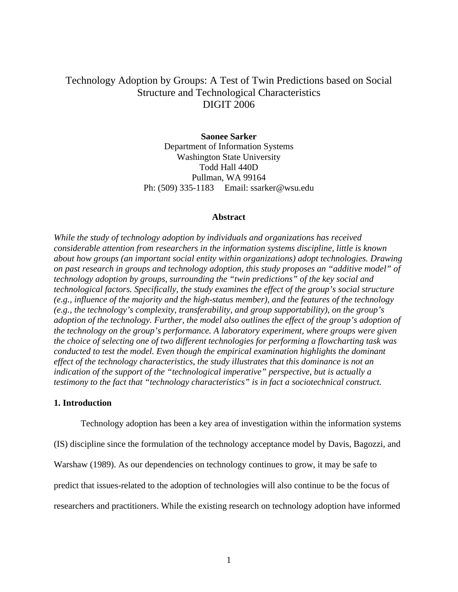## Technology Adoption by Groups: A Test of Twin Predictions based on Social Structure and Technological Characteristics DIGIT 2006

**Saonee Sarker**  Department of Information Systems Washington State University Todd Hall 440D Pullman, WA 99164 Ph: (509) 335-1183 Email: ssarker@wsu.edu

#### **Abstract**

*While the study of technology adoption by individuals and organizations has received considerable attention from researchers in the information systems discipline, little is known about how groups (an important social entity within organizations) adopt technologies. Drawing on past research in groups and technology adoption, this study proposes an "additive model" of technology adoption by groups, surrounding the "twin predictions" of the key social and technological factors. Specifically, the study examines the effect of the group's social structure (e.g., influence of the majority and the high-status member), and the features of the technology (e.g., the technology's complexity, transferability, and group supportability), on the group's adoption of the technology. Further, the model also outlines the effect of the group's adoption of the technology on the group's performance. A laboratory experiment, where groups were given the choice of selecting one of two different technologies for performing a flowcharting task was conducted to test the model. Even though the empirical examination highlights the dominant effect of the technology characteristics, the study illustrates that this dominance is not an indication of the support of the "technological imperative" perspective, but is actually a testimony to the fact that "technology characteristics" is in fact a sociotechnical construct.* 

#### **1. Introduction**

Technology adoption has been a key area of investigation within the information systems (IS) discipline since the formulation of the technology acceptance model by Davis, Bagozzi, and Warshaw (1989). As our dependencies on technology continues to grow, it may be safe to predict that issues-related to the adoption of technologies will also continue to be the focus of researchers and practitioners. While the existing research on technology adoption have informed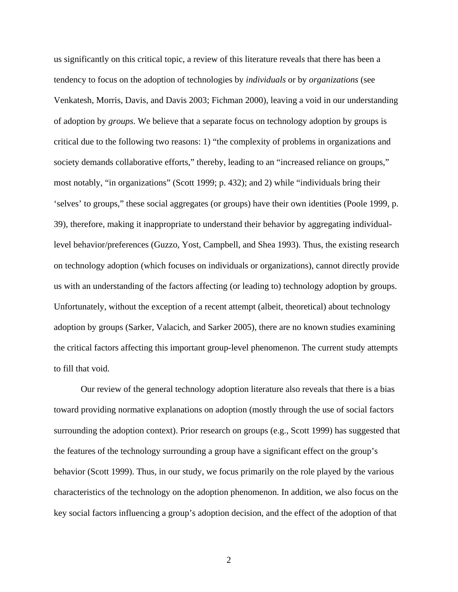us significantly on this critical topic, a review of this literature reveals that there has been a tendency to focus on the adoption of technologies by *individuals* or by *organizations* (see Venkatesh, Morris, Davis, and Davis 2003; Fichman 2000), leaving a void in our understanding of adoption by *groups*. We believe that a separate focus on technology adoption by groups is critical due to the following two reasons: 1) "the complexity of problems in organizations and society demands collaborative efforts," thereby, leading to an "increased reliance on groups," most notably, "in organizations" (Scott 1999; p. 432); and 2) while "individuals bring their 'selves' to groups," these social aggregates (or groups) have their own identities (Poole 1999, p. 39), therefore, making it inappropriate to understand their behavior by aggregating individuallevel behavior/preferences (Guzzo, Yost, Campbell, and Shea 1993). Thus, the existing research on technology adoption (which focuses on individuals or organizations), cannot directly provide us with an understanding of the factors affecting (or leading to) technology adoption by groups. Unfortunately, without the exception of a recent attempt (albeit, theoretical) about technology adoption by groups (Sarker, Valacich, and Sarker 2005), there are no known studies examining the critical factors affecting this important group-level phenomenon. The current study attempts to fill that void.

Our review of the general technology adoption literature also reveals that there is a bias toward providing normative explanations on adoption (mostly through the use of social factors surrounding the adoption context). Prior research on groups (e.g., Scott 1999) has suggested that the features of the technology surrounding a group have a significant effect on the group's behavior (Scott 1999). Thus, in our study, we focus primarily on the role played by the various characteristics of the technology on the adoption phenomenon. In addition, we also focus on the key social factors influencing a group's adoption decision, and the effect of the adoption of that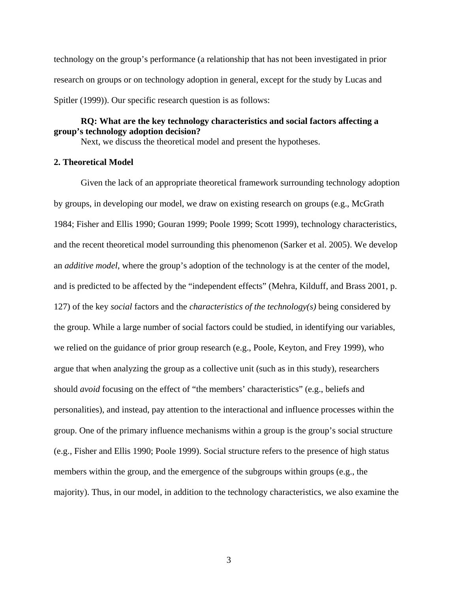technology on the group's performance (a relationship that has not been investigated in prior research on groups or on technology adoption in general, except for the study by Lucas and Spitler (1999)). Our specific research question is as follows:

## **RQ: What are the key technology characteristics and social factors affecting a group's technology adoption decision?**

Next, we discuss the theoretical model and present the hypotheses.

#### **2. Theoretical Model**

Given the lack of an appropriate theoretical framework surrounding technology adoption by groups, in developing our model, we draw on existing research on groups (e.g., McGrath 1984; Fisher and Ellis 1990; Gouran 1999; Poole 1999; Scott 1999), technology characteristics, and the recent theoretical model surrounding this phenomenon (Sarker et al. 2005). We develop an *additive model*, where the group's adoption of the technology is at the center of the model, and is predicted to be affected by the "independent effects" (Mehra, Kilduff, and Brass 2001, p. 127) of the key *social* factors and the *characteristics of the technology(s)* being considered by the group. While a large number of social factors could be studied, in identifying our variables, we relied on the guidance of prior group research (e.g., Poole, Keyton, and Frey 1999), who argue that when analyzing the group as a collective unit (such as in this study), researchers should *avoid* focusing on the effect of "the members' characteristics" (e.g., beliefs and personalities), and instead, pay attention to the interactional and influence processes within the group. One of the primary influence mechanisms within a group is the group's social structure (e.g., Fisher and Ellis 1990; Poole 1999). Social structure refers to the presence of high status members within the group, and the emergence of the subgroups within groups (e.g., the majority). Thus, in our model, in addition to the technology characteristics, we also examine the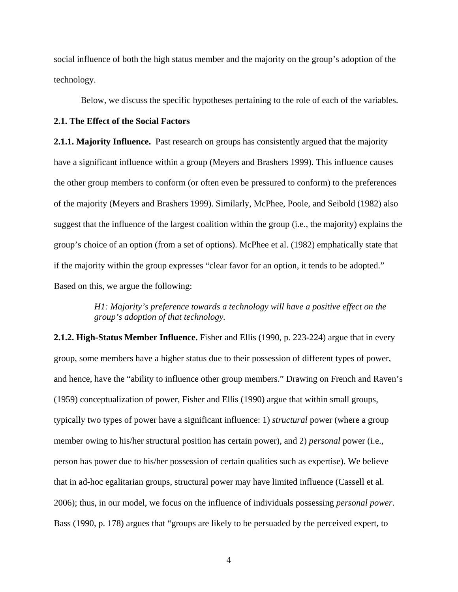social influence of both the high status member and the majority on the group's adoption of the technology.

Below, we discuss the specific hypotheses pertaining to the role of each of the variables.

#### **2.1. The Effect of the Social Factors**

**2.1.1. Majority Influence.** Past research on groups has consistently argued that the majority have a significant influence within a group (Meyers and Brashers 1999). This influence causes the other group members to conform (or often even be pressured to conform) to the preferences of the majority (Meyers and Brashers 1999). Similarly, McPhee, Poole, and Seibold (1982) also suggest that the influence of the largest coalition within the group (i.e., the majority) explains the group's choice of an option (from a set of options). McPhee et al. (1982) emphatically state that if the majority within the group expresses "clear favor for an option, it tends to be adopted." Based on this, we argue the following:

> *H1: Majority's preference towards a technology will have a positive effect on the group's adoption of that technology.*

**2.1.2. High-Status Member Influence.** Fisher and Ellis (1990, p. 223-224) argue that in every group, some members have a higher status due to their possession of different types of power, and hence, have the "ability to influence other group members." Drawing on French and Raven's (1959) conceptualization of power, Fisher and Ellis (1990) argue that within small groups, typically two types of power have a significant influence: 1) *structural* power (where a group member owing to his/her structural position has certain power), and 2) *personal* power (i.e., person has power due to his/her possession of certain qualities such as expertise). We believe that in ad-hoc egalitarian groups, structural power may have limited influence (Cassell et al. 2006); thus, in our model, we focus on the influence of individuals possessing *personal power*. Bass (1990, p. 178) argues that "groups are likely to be persuaded by the perceived expert, to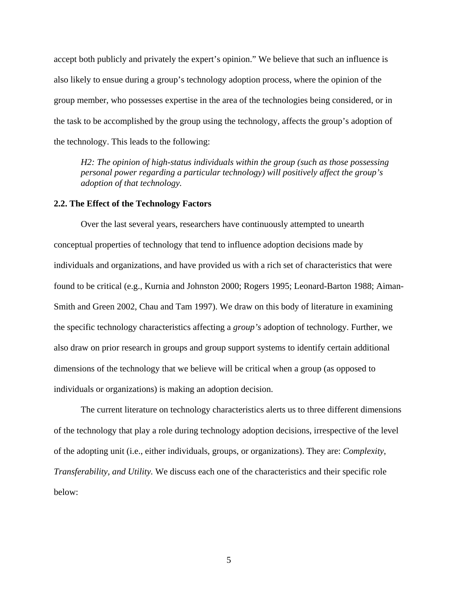accept both publicly and privately the expert's opinion." We believe that such an influence is also likely to ensue during a group's technology adoption process, where the opinion of the group member, who possesses expertise in the area of the technologies being considered, or in the task to be accomplished by the group using the technology, affects the group's adoption of the technology. This leads to the following:

*H2: The opinion of high-status individuals within the group (such as those possessing personal power regarding a particular technology) will positively affect the group's adoption of that technology.* 

#### **2.2. The Effect of the Technology Factors**

Over the last several years, researchers have continuously attempted to unearth conceptual properties of technology that tend to influence adoption decisions made by individuals and organizations, and have provided us with a rich set of characteristics that were found to be critical (e.g., Kurnia and Johnston 2000; Rogers 1995; Leonard-Barton 1988; Aiman-Smith and Green 2002, Chau and Tam 1997). We draw on this body of literature in examining the specific technology characteristics affecting a *group's* adoption of technology. Further, we also draw on prior research in groups and group support systems to identify certain additional dimensions of the technology that we believe will be critical when a group (as opposed to individuals or organizations) is making an adoption decision.

The current literature on technology characteristics alerts us to three different dimensions of the technology that play a role during technology adoption decisions, irrespective of the level of the adopting unit (i.e., either individuals, groups, or organizations). They are: *Complexity*, *Transferability, and Utility.* We discuss each one of the characteristics and their specific role below: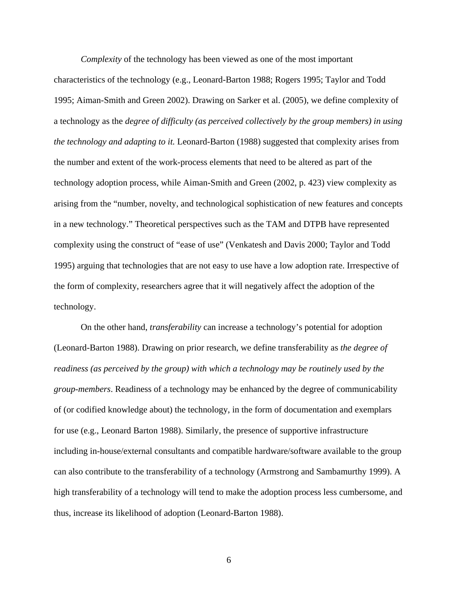*Complexity* of the technology has been viewed as one of the most important

characteristics of the technology (e.g., Leonard-Barton 1988; Rogers 1995; Taylor and Todd 1995; Aiman-Smith and Green 2002). Drawing on Sarker et al. (2005), we define complexity of a technology as the *degree of difficulty (as perceived collectively by the group members) in using the technology and adapting to it.* Leonard-Barton (1988) suggested that complexity arises from the number and extent of the work-process elements that need to be altered as part of the technology adoption process, while Aiman-Smith and Green (2002, p. 423) view complexity as arising from the "number, novelty, and technological sophistication of new features and concepts in a new technology." Theoretical perspectives such as the TAM and DTPB have represented complexity using the construct of "ease of use" (Venkatesh and Davis 2000; Taylor and Todd 1995) arguing that technologies that are not easy to use have a low adoption rate. Irrespective of the form of complexity, researchers agree that it will negatively affect the adoption of the technology.

On the other hand, *transferability* can increase a technology's potential for adoption (Leonard-Barton 1988). Drawing on prior research, we define transferability as *the degree of readiness (as perceived by the group) with which a technology may be routinely used by the group-members*. Readiness of a technology may be enhanced by the degree of communicability of (or codified knowledge about) the technology, in the form of documentation and exemplars for use (e.g., Leonard Barton 1988). Similarly, the presence of supportive infrastructure including in-house/external consultants and compatible hardware/software available to the group can also contribute to the transferability of a technology (Armstrong and Sambamurthy 1999). A high transferability of a technology will tend to make the adoption process less cumbersome, and thus, increase its likelihood of adoption (Leonard-Barton 1988).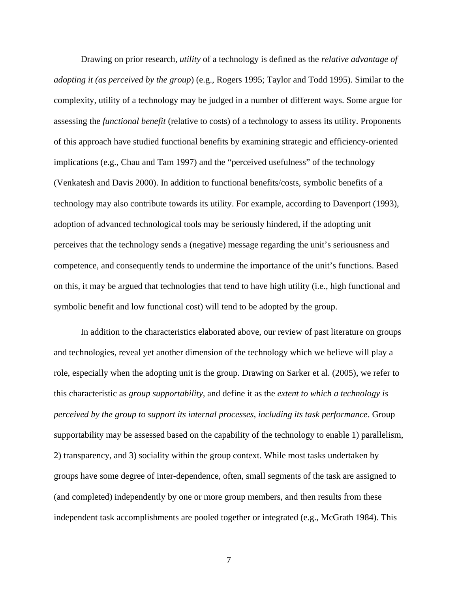Drawing on prior research, *utility* of a technology is defined as the *relative advantage of adopting it (as perceived by the group*) (e.g., Rogers 1995; Taylor and Todd 1995). Similar to the complexity, utility of a technology may be judged in a number of different ways. Some argue for assessing the *functional benefit* (relative to costs) of a technology to assess its utility. Proponents of this approach have studied functional benefits by examining strategic and efficiency-oriented implications (e.g., Chau and Tam 1997) and the "perceived usefulness" of the technology (Venkatesh and Davis 2000). In addition to functional benefits/costs, symbolic benefits of a technology may also contribute towards its utility. For example, according to Davenport (1993), adoption of advanced technological tools may be seriously hindered, if the adopting unit perceives that the technology sends a (negative) message regarding the unit's seriousness and competence, and consequently tends to undermine the importance of the unit's functions. Based on this, it may be argued that technologies that tend to have high utility (i.e., high functional and symbolic benefit and low functional cost) will tend to be adopted by the group.

In addition to the characteristics elaborated above, our review of past literature on groups and technologies, reveal yet another dimension of the technology which we believe will play a role, especially when the adopting unit is the group. Drawing on Sarker et al. (2005), we refer to this characteristic as *group supportability*, and define it as the *extent to which a technology is perceived by the group to support its internal processes*, *including its task performance*. Group supportability may be assessed based on the capability of the technology to enable 1) parallelism, 2) transparency, and 3) sociality within the group context. While most tasks undertaken by groups have some degree of inter-dependence, often, small segments of the task are assigned to (and completed) independently by one or more group members, and then results from these independent task accomplishments are pooled together or integrated (e.g., McGrath 1984). This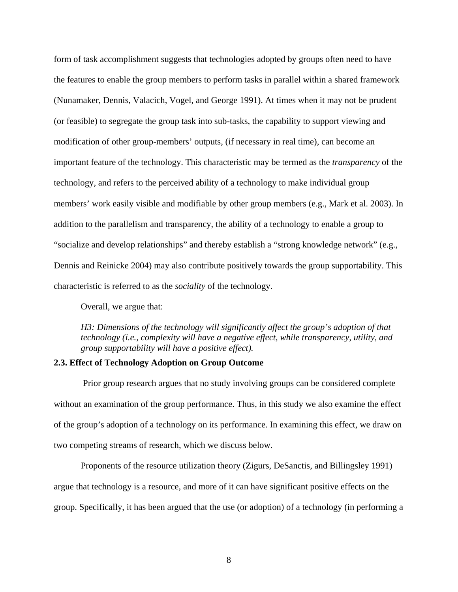form of task accomplishment suggests that technologies adopted by groups often need to have the features to enable the group members to perform tasks in parallel within a shared framework (Nunamaker, Dennis, Valacich, Vogel, and George 1991). At times when it may not be prudent (or feasible) to segregate the group task into sub-tasks, the capability to support viewing and modification of other group-members' outputs, (if necessary in real time), can become an important feature of the technology. This characteristic may be termed as the *transparency* of the technology*,* and refers to the perceived ability of a technology to make individual group members' work easily visible and modifiable by other group members (e.g., Mark et al. 2003). In addition to the parallelism and transparency, the ability of a technology to enable a group to "socialize and develop relationships" and thereby establish a "strong knowledge network" (e.g., Dennis and Reinicke 2004) may also contribute positively towards the group supportability. This characteristic is referred to as the *sociality* of the technology.

Overall, we argue that:

*H3: Dimensions of the technology will significantly affect the group's adoption of that technology (i.e., complexity will have a negative effect, while transparency, utility, and group supportability will have a positive effect).* 

## **2.3. Effect of Technology Adoption on Group Outcome**

 Prior group research argues that no study involving groups can be considered complete without an examination of the group performance. Thus, in this study we also examine the effect of the group's adoption of a technology on its performance. In examining this effect, we draw on two competing streams of research, which we discuss below.

Proponents of the resource utilization theory (Zigurs, DeSanctis, and Billingsley 1991) argue that technology is a resource, and more of it can have significant positive effects on the group. Specifically, it has been argued that the use (or adoption) of a technology (in performing a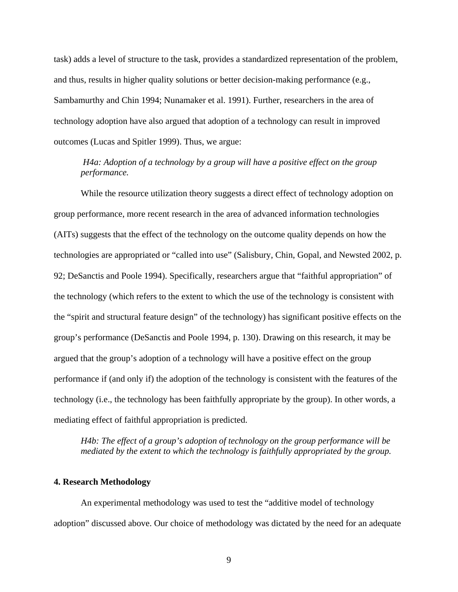task) adds a level of structure to the task, provides a standardized representation of the problem, and thus, results in higher quality solutions or better decision-making performance (e.g., Sambamurthy and Chin 1994; Nunamaker et al. 1991). Further, researchers in the area of technology adoption have also argued that adoption of a technology can result in improved outcomes (Lucas and Spitler 1999). Thus, we argue:

*H4a: Adoption of a technology by a group will have a positive effect on the group performance.* 

While the resource utilization theory suggests a direct effect of technology adoption on group performance, more recent research in the area of advanced information technologies (AITs) suggests that the effect of the technology on the outcome quality depends on how the technologies are appropriated or "called into use" (Salisbury, Chin, Gopal, and Newsted 2002, p. 92; DeSanctis and Poole 1994). Specifically, researchers argue that "faithful appropriation" of the technology (which refers to the extent to which the use of the technology is consistent with the "spirit and structural feature design" of the technology) has significant positive effects on the group's performance (DeSanctis and Poole 1994, p. 130). Drawing on this research, it may be argued that the group's adoption of a technology will have a positive effect on the group performance if (and only if) the adoption of the technology is consistent with the features of the technology (i.e., the technology has been faithfully appropriate by the group). In other words, a mediating effect of faithful appropriation is predicted.

*H4b: The effect of a group's adoption of technology on the group performance will be mediated by the extent to which the technology is faithfully appropriated by the group.*

#### **4. Research Methodology**

An experimental methodology was used to test the "additive model of technology adoption" discussed above. Our choice of methodology was dictated by the need for an adequate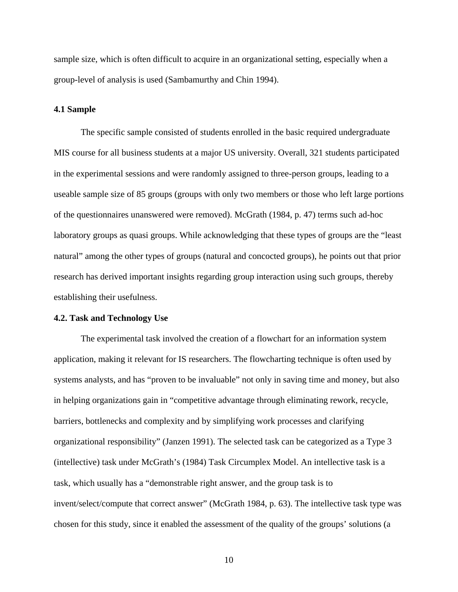sample size, which is often difficult to acquire in an organizational setting, especially when a group-level of analysis is used (Sambamurthy and Chin 1994).

#### **4.1 Sample**

The specific sample consisted of students enrolled in the basic required undergraduate MIS course for all business students at a major US university. Overall, 321 students participated in the experimental sessions and were randomly assigned to three-person groups, leading to a useable sample size of 85 groups (groups with only two members or those who left large portions of the questionnaires unanswered were removed). McGrath (1984, p. 47) terms such ad-hoc laboratory groups as quasi groups. While acknowledging that these types of groups are the "least natural" among the other types of groups (natural and concocted groups), he points out that prior research has derived important insights regarding group interaction using such groups, thereby establishing their usefulness.

#### **4.2. Task and Technology Use**

The experimental task involved the creation of a flowchart for an information system application, making it relevant for IS researchers. The flowcharting technique is often used by systems analysts, and has "proven to be invaluable" not only in saving time and money, but also in helping organizations gain in "competitive advantage through eliminating rework, recycle, barriers, bottlenecks and complexity and by simplifying work processes and clarifying organizational responsibility" (Janzen 1991). The selected task can be categorized as a Type 3 (intellective) task under McGrath's (1984) Task Circumplex Model. An intellective task is a task, which usually has a "demonstrable right answer, and the group task is to invent/select/compute that correct answer" (McGrath 1984, p. 63). The intellective task type was chosen for this study, since it enabled the assessment of the quality of the groups' solutions (a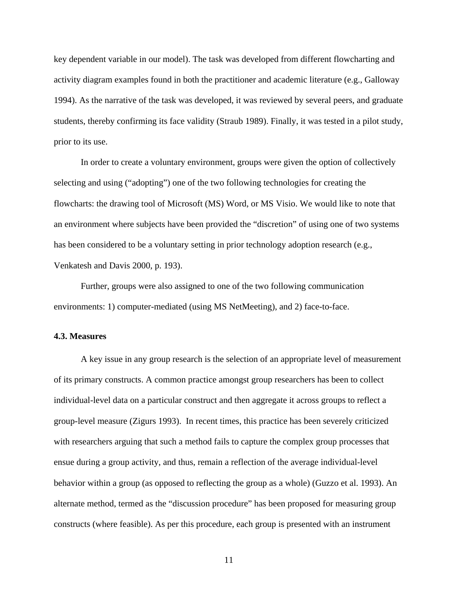key dependent variable in our model). The task was developed from different flowcharting and activity diagram examples found in both the practitioner and academic literature (e.g., Galloway 1994). As the narrative of the task was developed, it was reviewed by several peers, and graduate students, thereby confirming its face validity (Straub 1989). Finally, it was tested in a pilot study, prior to its use.

In order to create a voluntary environment, groups were given the option of collectively selecting and using ("adopting") one of the two following technologies for creating the flowcharts: the drawing tool of Microsoft (MS) Word, or MS Visio. We would like to note that an environment where subjects have been provided the "discretion" of using one of two systems has been considered to be a voluntary setting in prior technology adoption research (e.g., Venkatesh and Davis 2000, p. 193).

Further, groups were also assigned to one of the two following communication environments: 1) computer-mediated (using MS NetMeeting), and 2) face-to-face.

#### **4.3. Measures**

A key issue in any group research is the selection of an appropriate level of measurement of its primary constructs. A common practice amongst group researchers has been to collect individual-level data on a particular construct and then aggregate it across groups to reflect a group-level measure (Zigurs 1993). In recent times, this practice has been severely criticized with researchers arguing that such a method fails to capture the complex group processes that ensue during a group activity, and thus, remain a reflection of the average individual-level behavior within a group (as opposed to reflecting the group as a whole) (Guzzo et al. 1993). An alternate method, termed as the "discussion procedure" has been proposed for measuring group constructs (where feasible). As per this procedure, each group is presented with an instrument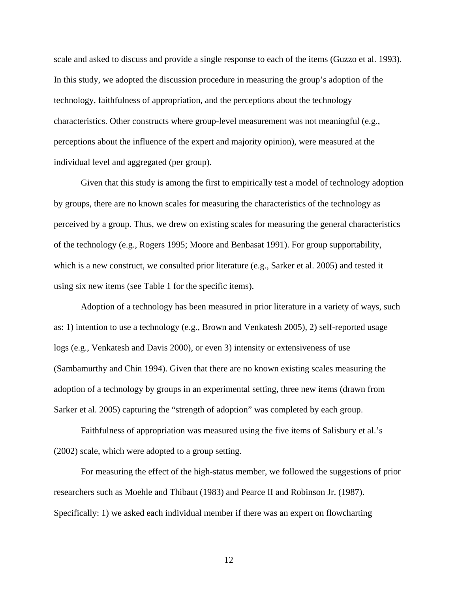scale and asked to discuss and provide a single response to each of the items (Guzzo et al. 1993). In this study, we adopted the discussion procedure in measuring the group's adoption of the technology, faithfulness of appropriation, and the perceptions about the technology characteristics. Other constructs where group-level measurement was not meaningful (e.g., perceptions about the influence of the expert and majority opinion), were measured at the individual level and aggregated (per group).

Given that this study is among the first to empirically test a model of technology adoption by groups, there are no known scales for measuring the characteristics of the technology as perceived by a group. Thus, we drew on existing scales for measuring the general characteristics of the technology (e.g., Rogers 1995; Moore and Benbasat 1991). For group supportability, which is a new construct, we consulted prior literature (e.g., Sarker et al. 2005) and tested it using six new items (see Table 1 for the specific items).

Adoption of a technology has been measured in prior literature in a variety of ways, such as: 1) intention to use a technology (e.g., Brown and Venkatesh 2005), 2) self-reported usage logs (e.g., Venkatesh and Davis 2000), or even 3) intensity or extensiveness of use (Sambamurthy and Chin 1994). Given that there are no known existing scales measuring the adoption of a technology by groups in an experimental setting, three new items (drawn from Sarker et al. 2005) capturing the "strength of adoption" was completed by each group.

Faithfulness of appropriation was measured using the five items of Salisbury et al.'s (2002) scale, which were adopted to a group setting.

For measuring the effect of the high-status member, we followed the suggestions of prior researchers such as Moehle and Thibaut (1983) and Pearce II and Robinson Jr. (1987). Specifically: 1) we asked each individual member if there was an expert on flowcharting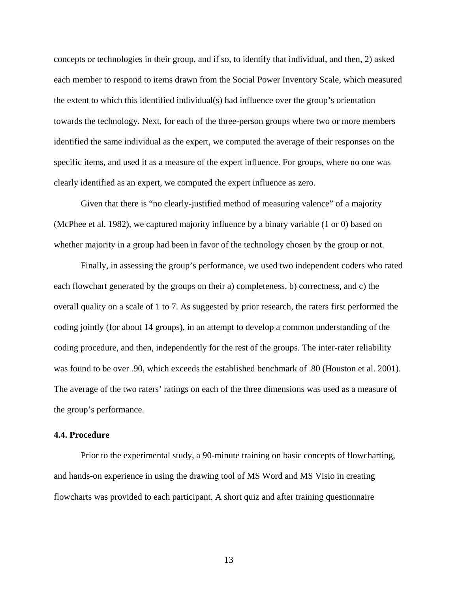concepts or technologies in their group, and if so, to identify that individual, and then, 2) asked each member to respond to items drawn from the Social Power Inventory Scale, which measured the extent to which this identified individual(s) had influence over the group's orientation towards the technology. Next, for each of the three-person groups where two or more members identified the same individual as the expert, we computed the average of their responses on the specific items, and used it as a measure of the expert influence. For groups, where no one was clearly identified as an expert, we computed the expert influence as zero.

Given that there is "no clearly-justified method of measuring valence" of a majority (McPhee et al. 1982), we captured majority influence by a binary variable (1 or 0) based on whether majority in a group had been in favor of the technology chosen by the group or not.

Finally, in assessing the group's performance, we used two independent coders who rated each flowchart generated by the groups on their a) completeness, b) correctness, and c) the overall quality on a scale of 1 to 7. As suggested by prior research, the raters first performed the coding jointly (for about 14 groups), in an attempt to develop a common understanding of the coding procedure, and then, independently for the rest of the groups. The inter-rater reliability was found to be over .90, which exceeds the established benchmark of .80 (Houston et al. 2001). The average of the two raters' ratings on each of the three dimensions was used as a measure of the group's performance.

#### **4.4. Procedure**

Prior to the experimental study, a 90-minute training on basic concepts of flowcharting, and hands-on experience in using the drawing tool of MS Word and MS Visio in creating flowcharts was provided to each participant. A short quiz and after training questionnaire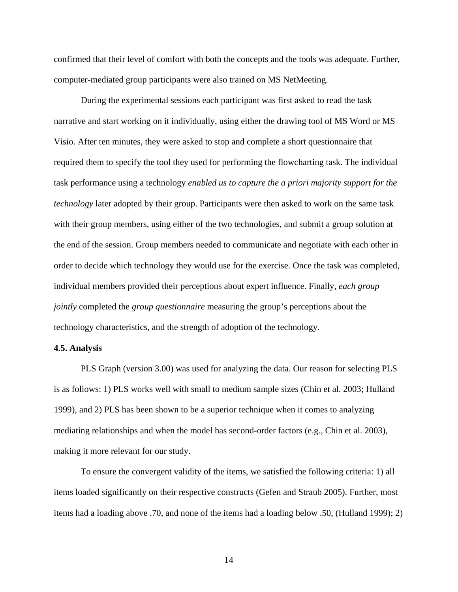confirmed that their level of comfort with both the concepts and the tools was adequate. Further, computer-mediated group participants were also trained on MS NetMeeting.

During the experimental sessions each participant was first asked to read the task narrative and start working on it individually, using either the drawing tool of MS Word or MS Visio. After ten minutes, they were asked to stop and complete a short questionnaire that required them to specify the tool they used for performing the flowcharting task. The individual task performance using a technology *enabled us to capture the a priori majority support for the technology* later adopted by their group. Participants were then asked to work on the same task with their group members, using either of the two technologies, and submit a group solution at the end of the session. Group members needed to communicate and negotiate with each other in order to decide which technology they would use for the exercise. Once the task was completed, individual members provided their perceptions about expert influence. Finally, *each group jointly* completed the *group questionnaire* measuring the group's perceptions about the technology characteristics, and the strength of adoption of the technology.

#### **4.5. Analysis**

PLS Graph (version 3.00) was used for analyzing the data. Our reason for selecting PLS is as follows: 1) PLS works well with small to medium sample sizes (Chin et al. 2003; Hulland 1999), and 2) PLS has been shown to be a superior technique when it comes to analyzing mediating relationships and when the model has second-order factors (e.g., Chin et al. 2003), making it more relevant for our study.

To ensure the convergent validity of the items, we satisfied the following criteria: 1) all items loaded significantly on their respective constructs (Gefen and Straub 2005). Further, most items had a loading above .70, and none of the items had a loading below .50, (Hulland 1999); 2)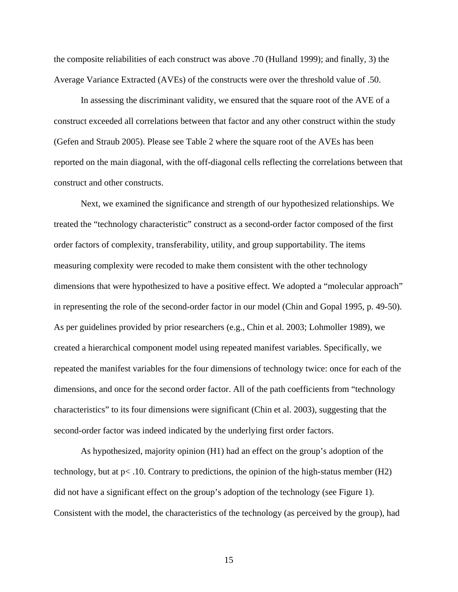the composite reliabilities of each construct was above .70 (Hulland 1999); and finally, 3) the Average Variance Extracted (AVEs) of the constructs were over the threshold value of .50.

In assessing the discriminant validity, we ensured that the square root of the AVE of a construct exceeded all correlations between that factor and any other construct within the study (Gefen and Straub 2005). Please see Table 2 where the square root of the AVEs has been reported on the main diagonal, with the off-diagonal cells reflecting the correlations between that construct and other constructs.

Next, we examined the significance and strength of our hypothesized relationships. We treated the "technology characteristic" construct as a second-order factor composed of the first order factors of complexity, transferability, utility, and group supportability. The items measuring complexity were recoded to make them consistent with the other technology dimensions that were hypothesized to have a positive effect. We adopted a "molecular approach" in representing the role of the second-order factor in our model (Chin and Gopal 1995, p. 49-50). As per guidelines provided by prior researchers (e.g., Chin et al. 2003; Lohmoller 1989), we created a hierarchical component model using repeated manifest variables. Specifically, we repeated the manifest variables for the four dimensions of technology twice: once for each of the dimensions, and once for the second order factor. All of the path coefficients from "technology characteristics" to its four dimensions were significant (Chin et al. 2003), suggesting that the second-order factor was indeed indicated by the underlying first order factors.

As hypothesized, majority opinion (H1) had an effect on the group's adoption of the technology, but at p< .10. Contrary to predictions, the opinion of the high-status member (H2) did not have a significant effect on the group's adoption of the technology (see Figure 1). Consistent with the model, the characteristics of the technology (as perceived by the group), had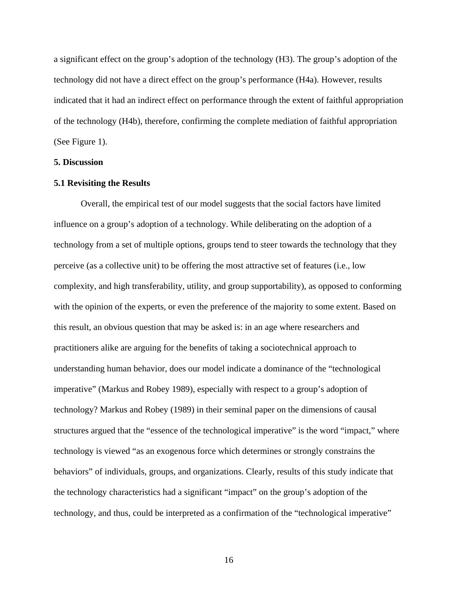a significant effect on the group's adoption of the technology (H3). The group's adoption of the technology did not have a direct effect on the group's performance (H4a). However, results indicated that it had an indirect effect on performance through the extent of faithful appropriation of the technology (H4b), therefore, confirming the complete mediation of faithful appropriation (See Figure 1).

#### **5. Discussion**

#### **5.1 Revisiting the Results**

Overall, the empirical test of our model suggests that the social factors have limited influence on a group's adoption of a technology. While deliberating on the adoption of a technology from a set of multiple options, groups tend to steer towards the technology that they perceive (as a collective unit) to be offering the most attractive set of features (i.e., low complexity, and high transferability, utility, and group supportability), as opposed to conforming with the opinion of the experts, or even the preference of the majority to some extent. Based on this result, an obvious question that may be asked is: in an age where researchers and practitioners alike are arguing for the benefits of taking a sociotechnical approach to understanding human behavior, does our model indicate a dominance of the "technological imperative" (Markus and Robey 1989), especially with respect to a group's adoption of technology? Markus and Robey (1989) in their seminal paper on the dimensions of causal structures argued that the "essence of the technological imperative" is the word "impact," where technology is viewed "as an exogenous force which determines or strongly constrains the behaviors" of individuals, groups, and organizations. Clearly, results of this study indicate that the technology characteristics had a significant "impact" on the group's adoption of the technology, and thus, could be interpreted as a confirmation of the "technological imperative"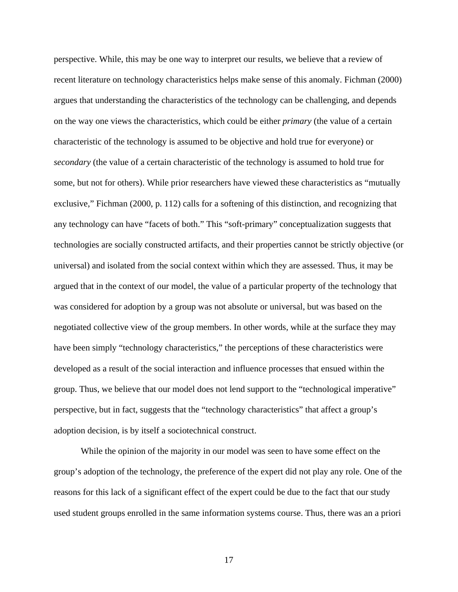perspective. While, this may be one way to interpret our results, we believe that a review of recent literature on technology characteristics helps make sense of this anomaly. Fichman (2000) argues that understanding the characteristics of the technology can be challenging, and depends on the way one views the characteristics, which could be either *primary* (the value of a certain characteristic of the technology is assumed to be objective and hold true for everyone) or *secondary* (the value of a certain characteristic of the technology is assumed to hold true for some, but not for others). While prior researchers have viewed these characteristics as "mutually exclusive," Fichman (2000, p. 112) calls for a softening of this distinction, and recognizing that any technology can have "facets of both." This "soft-primary" conceptualization suggests that technologies are socially constructed artifacts, and their properties cannot be strictly objective (or universal) and isolated from the social context within which they are assessed. Thus, it may be argued that in the context of our model, the value of a particular property of the technology that was considered for adoption by a group was not absolute or universal, but was based on the negotiated collective view of the group members. In other words, while at the surface they may have been simply "technology characteristics," the perceptions of these characteristics were developed as a result of the social interaction and influence processes that ensued within the group. Thus, we believe that our model does not lend support to the "technological imperative" perspective, but in fact, suggests that the "technology characteristics" that affect a group's adoption decision, is by itself a sociotechnical construct.

While the opinion of the majority in our model was seen to have some effect on the group's adoption of the technology, the preference of the expert did not play any role. One of the reasons for this lack of a significant effect of the expert could be due to the fact that our study used student groups enrolled in the same information systems course. Thus, there was an a priori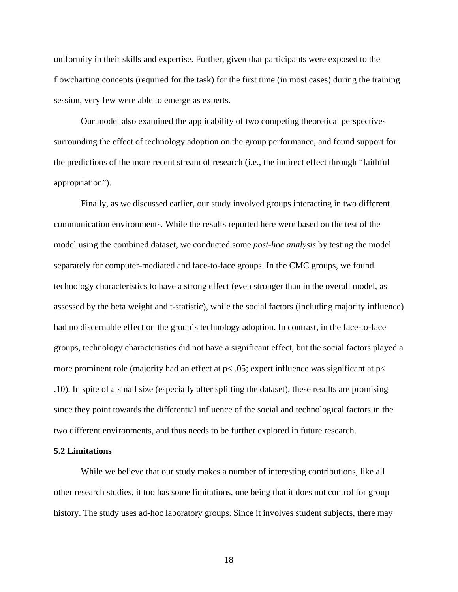uniformity in their skills and expertise. Further, given that participants were exposed to the flowcharting concepts (required for the task) for the first time (in most cases) during the training session, very few were able to emerge as experts.

Our model also examined the applicability of two competing theoretical perspectives surrounding the effect of technology adoption on the group performance, and found support for the predictions of the more recent stream of research (i.e., the indirect effect through "faithful appropriation").

Finally, as we discussed earlier, our study involved groups interacting in two different communication environments. While the results reported here were based on the test of the model using the combined dataset, we conducted some *post-hoc analysis* by testing the model separately for computer-mediated and face-to-face groups. In the CMC groups, we found technology characteristics to have a strong effect (even stronger than in the overall model, as assessed by the beta weight and t-statistic), while the social factors (including majority influence) had no discernable effect on the group's technology adoption. In contrast, in the face-to-face groups, technology characteristics did not have a significant effect, but the social factors played a more prominent role (majority had an effect at  $p$  < .05; expert influence was significant at  $p$  < .10). In spite of a small size (especially after splitting the dataset), these results are promising since they point towards the differential influence of the social and technological factors in the two different environments, and thus needs to be further explored in future research.

#### **5.2 Limitations**

While we believe that our study makes a number of interesting contributions, like all other research studies, it too has some limitations, one being that it does not control for group history. The study uses ad-hoc laboratory groups. Since it involves student subjects, there may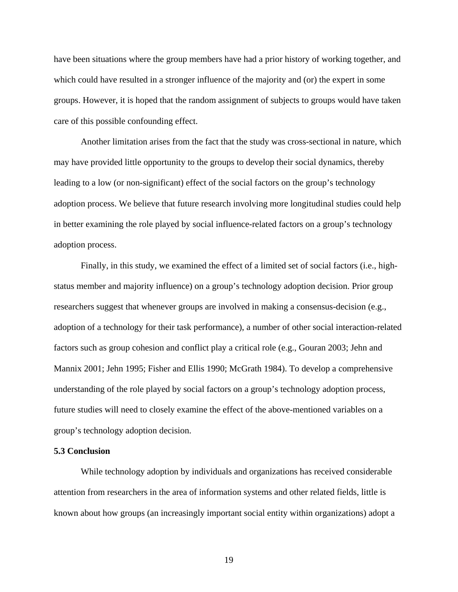have been situations where the group members have had a prior history of working together, and which could have resulted in a stronger influence of the majority and (or) the expert in some groups. However, it is hoped that the random assignment of subjects to groups would have taken care of this possible confounding effect.

Another limitation arises from the fact that the study was cross-sectional in nature, which may have provided little opportunity to the groups to develop their social dynamics, thereby leading to a low (or non-significant) effect of the social factors on the group's technology adoption process. We believe that future research involving more longitudinal studies could help in better examining the role played by social influence-related factors on a group's technology adoption process.

Finally, in this study, we examined the effect of a limited set of social factors (i.e., highstatus member and majority influence) on a group's technology adoption decision. Prior group researchers suggest that whenever groups are involved in making a consensus-decision (e.g., adoption of a technology for their task performance), a number of other social interaction-related factors such as group cohesion and conflict play a critical role (e.g., Gouran 2003; Jehn and Mannix 2001; Jehn 1995; Fisher and Ellis 1990; McGrath 1984). To develop a comprehensive understanding of the role played by social factors on a group's technology adoption process, future studies will need to closely examine the effect of the above-mentioned variables on a group's technology adoption decision.

#### **5.3 Conclusion**

While technology adoption by individuals and organizations has received considerable attention from researchers in the area of information systems and other related fields, little is known about how groups (an increasingly important social entity within organizations) adopt a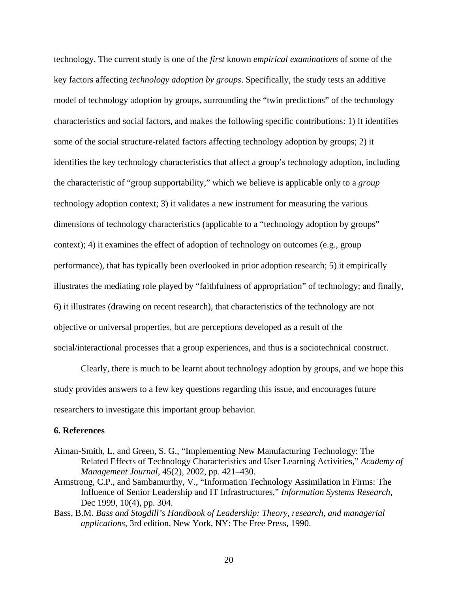technology. The current study is one of the *first* known *empirical examinations* of some of the key factors affecting *technology adoption by groups*. Specifically, the study tests an additive model of technology adoption by groups, surrounding the "twin predictions" of the technology characteristics and social factors, and makes the following specific contributions: 1) It identifies some of the social structure-related factors affecting technology adoption by groups; 2) it identifies the key technology characteristics that affect a group's technology adoption, including the characteristic of "group supportability," which we believe is applicable only to a *group*  technology adoption context; 3) it validates a new instrument for measuring the various dimensions of technology characteristics (applicable to a "technology adoption by groups" context); 4) it examines the effect of adoption of technology on outcomes (e.g., group performance), that has typically been overlooked in prior adoption research; 5) it empirically illustrates the mediating role played by "faithfulness of appropriation" of technology; and finally, 6) it illustrates (drawing on recent research), that characteristics of the technology are not objective or universal properties, but are perceptions developed as a result of the social/interactional processes that a group experiences, and thus is a sociotechnical construct.

Clearly, there is much to be learnt about technology adoption by groups, and we hope this study provides answers to a few key questions regarding this issue, and encourages future researchers to investigate this important group behavior.

#### **6. References**

- Aiman-Smith, L, and Green, S. G., "Implementing New Manufacturing Technology: The Related Effects of Technology Characteristics and User Learning Activities," *Academy of Management Journal*, 45(2), 2002, pp. 421–430.
- Armstrong, C.P., and Sambamurthy, V., "Information Technology Assimilation in Firms: The Influence of Senior Leadership and IT Infrastructures," *Information Systems Research*, Dec 1999, 10(4), pp. 304.
- Bass, B.M. *Bass and Stogdill's Handbook of Leadership: Theory, research, and managerial applications*, 3rd edition, New York, NY: The Free Press, 1990.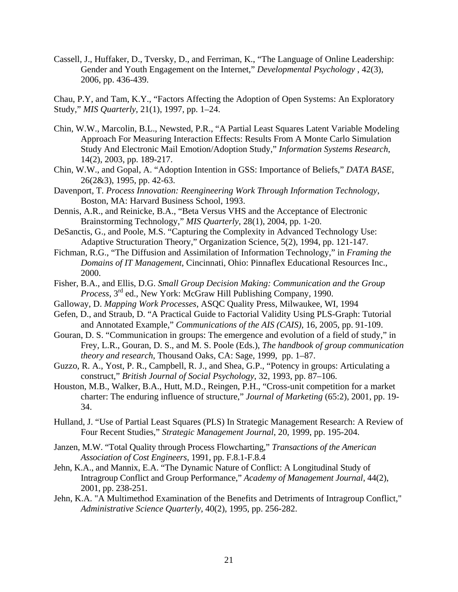Cassell, J., Huffaker, D., Tversky, D., and Ferriman, K., "The Language of Online Leadership: Gender and Youth Engagement on the Internet," *Developmental Psychology* , 42(3), 2006, pp. 436-439.

Chau, P.Y, and Tam, K.Y., "Factors Affecting the Adoption of Open Systems: An Exploratory Study," *MIS Quarterly*, 21(1), 1997, pp. 1–24.

- Chin, W.W., Marcolin, B.L., Newsted, P.R., "A Partial Least Squares Latent Variable Modeling Approach For Measuring Interaction Effects: Results From A Monte Carlo Simulation Study And Electronic Mail Emotion/Adoption Study," *Information Systems Research*, 14(2), 2003, pp. 189-217.
- Chin, W.W., and Gopal, A. "Adoption Intention in GSS: Importance of Beliefs," *DATA BASE*, 26(2&3), 1995, pp. 42-63.
- Davenport, T. *Process Innovation: Reengineering Work Through Information Technology*, Boston, MA: Harvard Business School, 1993.
- Dennis, A.R., and Reinicke, B.A., "Beta Versus VHS and the Acceptance of Electronic Brainstorming Technology," *MIS Quarterly*, 28(1), 2004, pp. 1-20.
- DeSanctis, G., and Poole, M.S. "Capturing the Complexity in Advanced Technology Use: Adaptive Structuration Theory," Organization Science, 5(2), 1994, pp. 121-147.
- Fichman, R.G., "The Diffusion and Assimilation of Information Technology," in *Framing the Domains of IT Management*, Cincinnati, Ohio: Pinnaflex Educational Resources Inc., 2000.
- Fisher, B.A., and Ellis, D.G. *Small Group Decision Making: Communication and the Group Process*, 3rd ed., New York: McGraw Hill Publishing Company, 1990.
- Galloway, D. *Mapping Work Processes*, ASQC Quality Press, Milwaukee, WI, 1994
- Gefen, D., and Straub, D. "A Practical Guide to Factorial Validity Using PLS-Graph: Tutorial and Annotated Example," *Communications of the AIS (CAIS)*, 16, 2005, pp. 91-109.
- Gouran, D. S. "Communication in groups: The emergence and evolution of a field of study," in Frey, L.R., Gouran, D. S., and M. S. Poole (Eds.), *The handbook of group communication theory and research*, Thousand Oaks, CA: Sage, 1999, pp. 1–87.
- Guzzo, R. A., Yost, P. R., Campbell, R. J., and Shea, G.P., "Potency in groups: Articulating a construct," *British Journal of Social Psychology*, 32, 1993, pp. 87–106.
- Houston, M.B., Walker, B.A., Hutt, M.D., Reingen, P.H., "Cross-unit competition for a market charter: The enduring influence of structure," *Journal of Marketing* (65:2), 2001, pp. 19- 34.
- Hulland, J. "Use of Partial Least Squares (PLS) In Strategic Management Research: A Review of Four Recent Studies," *Strategic Management Journal*, 20, 1999, pp. 195-204.
- Janzen, M.W. "Total Quality through Process Flowcharting," *Transactions of the American Association of Cost Engineers*, 1991, pp. F.8.1-F.8.4
- Jehn, K.A., and Mannix, E.A. "The Dynamic Nature of Conflict: A Longitudinal Study of Intragroup Conflict and Group Performance," *Academy of Management Journal*, 44(2), 2001, pp. 238-251.
- Jehn, K.A. "A Multimethod Examination of the Benefits and Detriments of Intragroup Conflict," *Administrative Science Quarterly*, 40(2), 1995, pp. 256-282.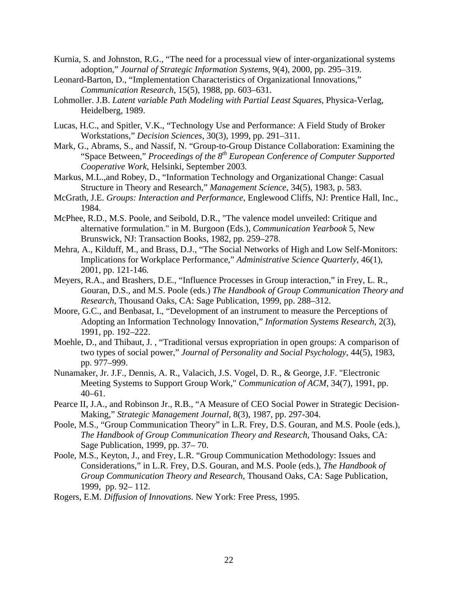- Kurnia, S. and Johnston, R.G., "The need for a processual view of inter-organizational systems adoption," *Journal of Strategic Information Systems*, 9(4), 2000, pp. 295–319.
- Leonard-Barton, D., "Implementation Characteristics of Organizational Innovations," *Communication Research*, 15(5), 1988, pp. 603–631.
- Lohmoller. J.B. *Latent variable Path Modeling with Partial Least Squares*, Physica-Verlag, Heidelberg, 1989.
- Lucas, H.C., and Spitler, V.K., "Technology Use and Performance: A Field Study of Broker Workstations," *Decision Sciences*, 30(3), 1999, pp. 291–311.
- Mark, G., Abrams, S., and Nassif, N. "Group-to-Group Distance Collaboration: Examining the "Space Between," *Proceedings of the 8th European Conference of Computer Supported Cooperative Work*, Helsinki, September 2003.
- Markus, M.L.,and Robey, D., "Information Technology and Organizational Change: Casual Structure in Theory and Research," *Management Science*, 34(5), 1983, p. 583.
- McGrath, J.E. *Groups: Interaction and Performance*, Englewood Cliffs, NJ: Prentice Hall, Inc., 1984.
- McPhee, R.D., M.S. Poole, and Seibold, D.R., "The valence model unveiled: Critique and alternative formulation." in M. Burgoon (Eds.), *Communication Yearbook* 5, New Brunswick, NJ: Transaction Books, 1982, pp. 259–278.
- Mehra, A., Kilduff, M., and Brass, D.J., "The Social Networks of High and Low Self-Monitors: Implications for Workplace Performance," *Administrative Science Quarterly*, 46(1), 2001, pp. 121-146.
- Meyers, R.A., and Brashers, D.E., "Influence Processes in Group interaction," in Frey, L. R., Gouran, D.S., and M.S. Poole (eds.) *The Handbook of Group Communication Theory and Research*, Thousand Oaks, CA: Sage Publication, 1999, pp. 288–312.
- Moore, G.C., and Benbasat, I., "Development of an instrument to measure the Perceptions of Adopting an Information Technology Innovation," *Information Systems Research*, 2(3), 1991, pp. 192–222.
- Moehle, D., and Thibaut, J. , "Traditional versus expropriation in open groups: A comparison of two types of social power," *Journal of Personality and Social Psychology*, 44(5), 1983, pp. 977–999.
- Nunamaker, Jr. J.F., Dennis, A. R., Valacich, J.S. Vogel, D. R., & George, J.F. "Electronic Meeting Systems to Support Group Work," *Communication of ACM*, 34(7), 1991, pp. 40–61.
- Pearce II, J.A., and Robinson Jr., R.B., "A Measure of CEO Social Power in Strategic Decision-Making," *Strategic Management Journal*, 8(3), 1987, pp. 297-304.
- Poole, M.S., "Group Communication Theory" in L.R. Frey, D.S. Gouran, and M.S. Poole (eds.), *The Handbook of Group Communication Theory and Research*, Thousand Oaks, CA: Sage Publication, 1999, pp. 37– 70.
- Poole, M.S., Keyton, J., and Frey, L.R. "Group Communication Methodology: Issues and Considerations," in L.R. Frey, D.S. Gouran, and M.S. Poole (eds.), *The Handbook of Group Communication Theory and Research*, Thousand Oaks, CA: Sage Publication, 1999, pp. 92– 112.
- Rogers, E.M. *Diffusion of Innovations*. New York: Free Press, 1995.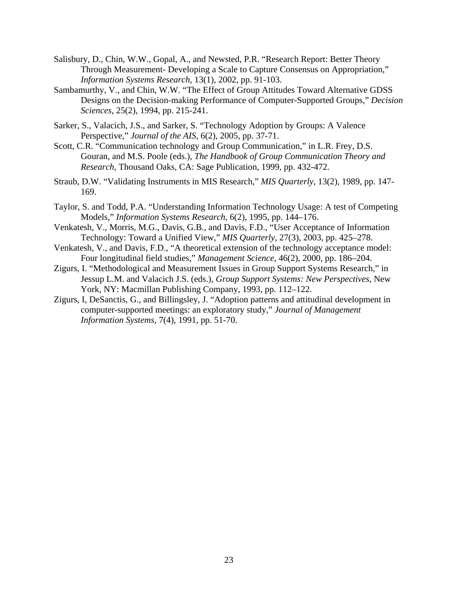- Salisbury, D., Chin, W.W., Gopal, A., and Newsted, P.R. "Research Report: Better Theory Through Measurement- Developing a Scale to Capture Consensus on Appropriation," *Information Systems Research*, 13(1), 2002, pp. 91-103.
- Sambamurthy, V., and Chin, W.W. "The Effect of Group Attitudes Toward Alternative GDSS Designs on the Decision-making Performance of Computer-Supported Groups," *Decision Sciences*, 25(2), 1994, pp. 215-241.
- Sarker, S., Valacich, J.S., and Sarker, S. "Technology Adoption by Groups: A Valence Perspective," *Journal of the AIS*, 6(2), 2005, pp. 37-71.
- Scott, C.R. "Communication technology and Group Communication," in L.R. Frey, D.S. Gouran, and M.S. Poole (eds.), *The Handbook of Group Communication Theory and Research*, Thousand Oaks, CA: Sage Publication, 1999, pp. 432-472.
- Straub, D.W. "Validating Instruments in MIS Research," *MIS Quarterly*, 13(2), 1989, pp. 147- 169.
- Taylor, S. and Todd, P.A. "Understanding Information Technology Usage: A test of Competing Models," *Information Systems Research*, 6(2), 1995, pp. 144–176.
- Venkatesh, V., Morris, M.G., Davis, G.B., and Davis, F.D., "User Acceptance of Information Technology: Toward a Unified View," *MIS Quarterly*, 27(3), 2003, pp. 425–278.
- Venkatesh, V., and Davis, F.D., "A theoretical extension of the technology acceptance model: Four longitudinal field studies," *Management Science*, 46(2), 2000, pp. 186–204.
- Zigurs, I. "Methodological and Measurement Issues in Group Support Systems Research," in Jessup L.M. and Valacich J.S. (eds.), *Group Support Systems: New Perspectives*, New York, NY: Macmillan Publishing Company, 1993, pp. 112–122.
- Zigurs, I, DeSanctis, G., and Billingsley, J. "Adoption patterns and attitudinal development in computer-supported meetings: an exploratory study," *Journal of Management Information Systems,* 7(4), 1991, pp. 51-70.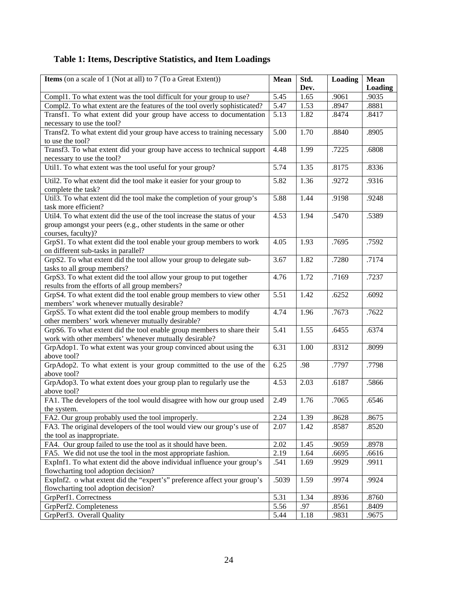|  | Table 1: Items, Descriptive Statistics, and Item Loadings |  |  |
|--|-----------------------------------------------------------|--|--|
|  |                                                           |  |  |

| <b>Items</b> (on a scale of 1 (Not at all) to 7 (To a Great Extent))      | Mean  | Std. | Loading | <b>Mean</b> |
|---------------------------------------------------------------------------|-------|------|---------|-------------|
|                                                                           |       | Dev. |         | Loading     |
| Compl1. To what extent was the tool difficult for your group to use?      | 5.45  | 1.65 | .9061   | .9035       |
| Compl2. To what extent are the features of the tool overly sophisticated? | 5.47  | 1.53 | .8947   | .8881       |
| Transf1. To what extent did your group have access to documentation       | 5.13  | 1.82 | .8474   | .8417       |
| necessary to use the tool?                                                |       |      |         |             |
| Transf2. To what extent did your group have access to training necessary  | 5.00  | 1.70 | .8840   | .8905       |
| to use the tool?                                                          |       |      |         |             |
| Transf3. To what extent did your group have access to technical support   | 4.48  | 1.99 | .7225   | .6808       |
| necessary to use the tool?                                                |       |      |         |             |
| Util1. To what extent was the tool useful for your group?                 | 5.74  | 1.35 | .8175   | .8336       |
| Util2. To what extent did the tool make it easier for your group to       | 5.82  | 1.36 | .9272   | .9316       |
| complete the task?                                                        |       |      |         |             |
| Util3. To what extent did the tool make the completion of your group's    | 5.88  | 1.44 | .9198   | .9248       |
| task more efficient?                                                      |       |      |         |             |
| Util4. To what extent did the use of the tool increase the status of your | 4.53  | 1.94 | .5470   | .5389       |
| group amongst your peers (e.g., other students in the same or other       |       |      |         |             |
| courses, faculty)?                                                        |       |      |         |             |
| GrpS1. To what extent did the tool enable your group members to work      | 4.05  | 1.93 | .7695   | .7592       |
| on different sub-tasks in parallel?                                       |       |      |         |             |
| GrpS2. To what extent did the tool allow your group to delegate sub-      | 3.67  | 1.82 | .7280   | .7174       |
| tasks to all group members?                                               |       |      |         |             |
| GrpS3. To what extent did the tool allow your group to put together       | 4.76  | 1.72 | .7169   | .7237       |
| results from the efforts of all group members?                            |       |      |         |             |
| GrpS4. To what extent did the tool enable group members to view other     | 5.51  | 1.42 | .6252   | .6092       |
| members' work whenever mutually desirable?                                |       |      |         |             |
| GrpS5. To what extent did the tool enable group members to modify         | 4.74  | 1.96 | .7673   | .7622       |
| other members' work whenever mutually desirable?                          |       |      |         |             |
| GrpS6. To what extent did the tool enable group members to share their    | 5.41  | 1.55 | .6455   | .6374       |
| work with other members' whenever mutually desirable?                     |       |      |         |             |
| GrpAdop1. To what extent was your group convinced about using the         | 6.31  | 1.00 | .8312   | .8099       |
| above tool?                                                               |       |      |         |             |
| GrpAdop2. To what extent is your group committed to the use of the        | 6.25  | .98  | .7797   | .7798       |
| above tool?                                                               |       |      |         |             |
| GrpAdop3. To what extent does your group plan to regularly use the        | 4.53  | 2.03 | .6187   | .5866       |
| above tool?                                                               |       |      |         |             |
| FA1. The developers of the tool would disagree with how our group used    | 2.49  | 1.76 | .7065   | .6546       |
| the system.                                                               |       |      |         |             |
| FA2. Our group probably used the tool improperly.                         | 2.24  | 1.39 | .8628   | .8675       |
| FA3. The original developers of the tool would view our group's use of    | 2.07  | 1.42 | .8587   | .8520       |
| the tool as inappropriate.                                                |       |      |         |             |
| FA4. Our group failed to use the tool as it should have been.             | 2.02  | 1.45 | .9059   | .8978       |
| FA5. We did not use the tool in the most appropriate fashion.             | 2.19  | 1.64 | .6695   | .6616       |
| ExpInf1. To what extent did the above individual influence your group's   | .541  | 1.69 | .9929   | .9911       |
| flowcharting tool adoption decision?                                      |       |      |         |             |
| ExpInf2. o what extent did the "expert's" preference affect your group's  | .5039 | 1.59 | .9974   | .9924       |
| flowcharting tool adoption decision?                                      |       |      |         |             |
| GrpPerf1. Correctness                                                     | 5.31  | 1.34 | .8936   | .8760       |
| GrpPerf2. Completeness                                                    | 5.56  | .97  | .8561   | .8409       |
| GrpPerf3. Overall Quality                                                 | 5.44  | 1.18 | .9831   | .9675       |